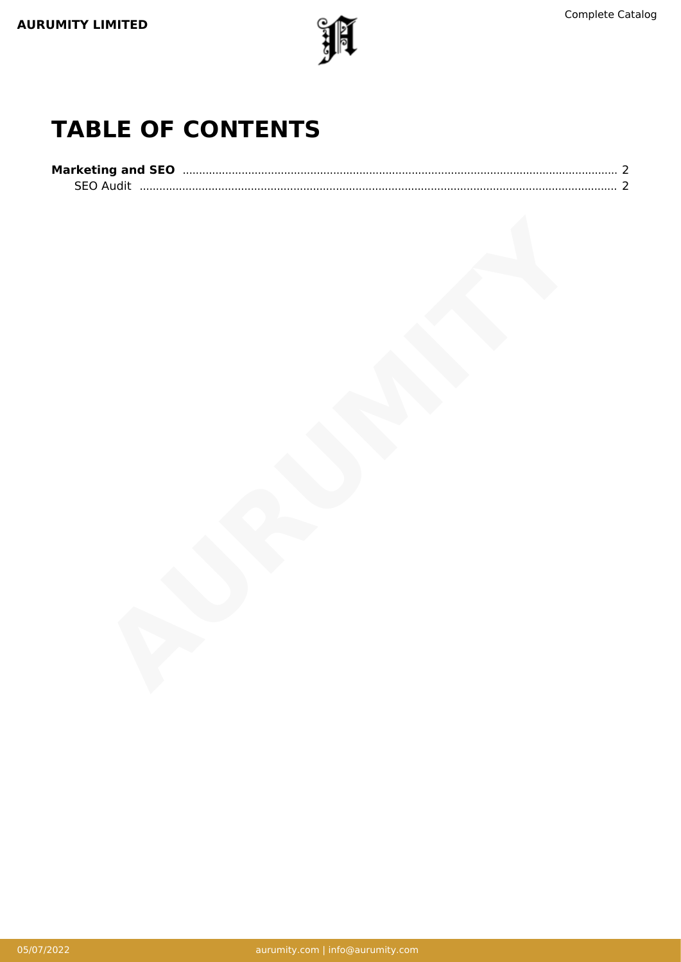

## **TABLE OF CONTENTS**

| <b>Marketing and SEO</b> |  |
|--------------------------|--|
| <b>SEO Audit</b>         |  |